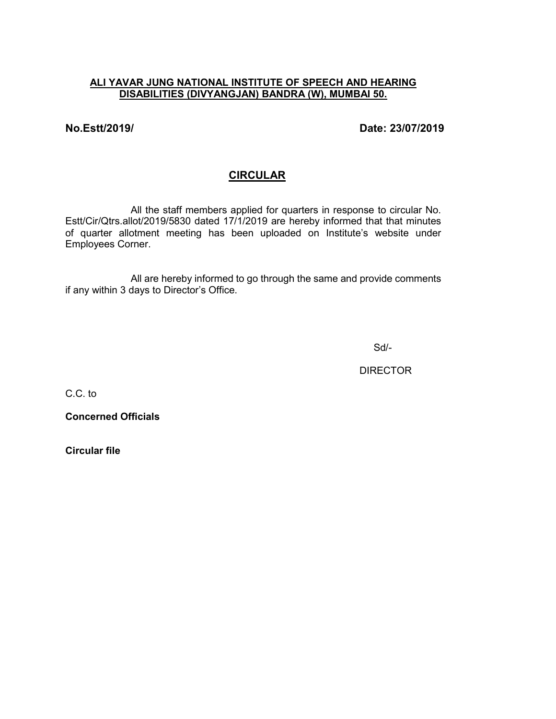## **ALI YAVAR JUNG NATIONAL INSTITUTE OF SPEECH AND HEARING DISABILITIES (DIVYANGJAN) BANDRA (W), MUMBAI 50.**

**No.Estt/2019/ Date: 23/07/2019**

# **CIRCULAR**

All the staff members applied for quarters in response to circular No. Estt/Cir/Qtrs.allot/2019/5830 dated 17/1/2019 are hereby informed that that minutes of quarter allotment meeting has been uploaded on Institute's website under Employees Corner.

All are hereby informed to go through the same and provide comments if any within 3 days to Director's Office.

Sd/-

**DIRECTOR** 

C.C. to

**Concerned Officials**

**Circular file**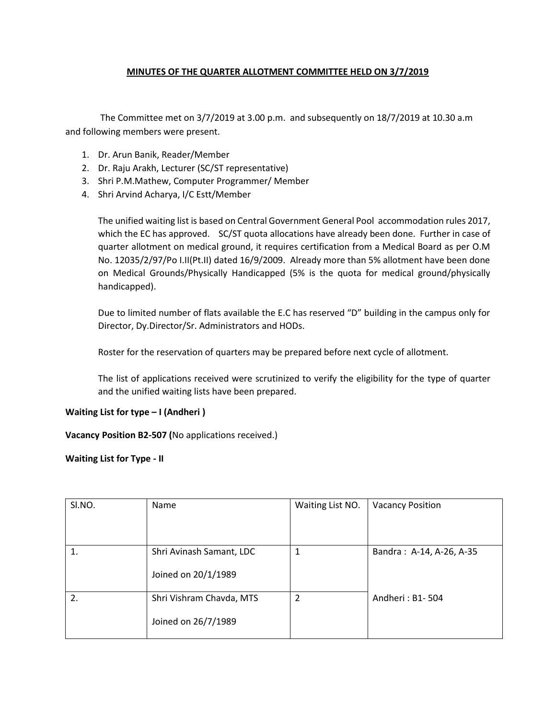### **MINUTES OF THE QUARTER ALLOTMENT COMMITTEE HELD ON 3/7/2019**

The Committee met on 3/7/2019 at 3.00 p.m. and subsequently on 18/7/2019 at 10.30 a.m and following members were present.

- 1. Dr. Arun Banik, Reader/Member
- 2. Dr. Raju Arakh, Lecturer (SC/ST representative)
- 3. Shri P.M.Mathew, Computer Programmer/ Member
- 4. Shri Arvind Acharya, I/C Estt/Member

The unified waiting list is based on Central Government General Pool accommodation rules 2017, which the EC has approved. SC/ST quota allocations have already been done. Further in case of quarter allotment on medical ground, it requires certification from a Medical Board as per O.M No. 12035/2/97/Po I.II(Pt.II) dated 16/9/2009. Already more than 5% allotment have been done on Medical Grounds/Physically Handicapped (5% is the quota for medical ground/physically handicapped).

Due to limited number of flats available the E.C has reserved "D" building in the campus only for Director, Dy.Director/Sr. Administrators and HODs.

Roster for the reservation of quarters may be prepared before next cycle of allotment.

The list of applications received were scrutinized to verify the eligibility for the type of quarter and the unified waiting lists have been prepared.

#### **Waiting List for type – I (Andheri )**

**Vacancy Position B2-507 (**No applications received.)

#### **Waiting List for Type - II**

| SI.NO. | Name                     | Waiting List NO. | <b>Vacancy Position</b>  |
|--------|--------------------------|------------------|--------------------------|
|        |                          |                  |                          |
|        |                          |                  |                          |
|        | Shri Avinash Samant, LDC |                  | Bandra: A-14, A-26, A-35 |
|        | Joined on 20/1/1989      |                  |                          |
| 2.     | Shri Vishram Chavda, MTS | 2                | Andheri: B1-504          |
|        | Joined on 26/7/1989      |                  |                          |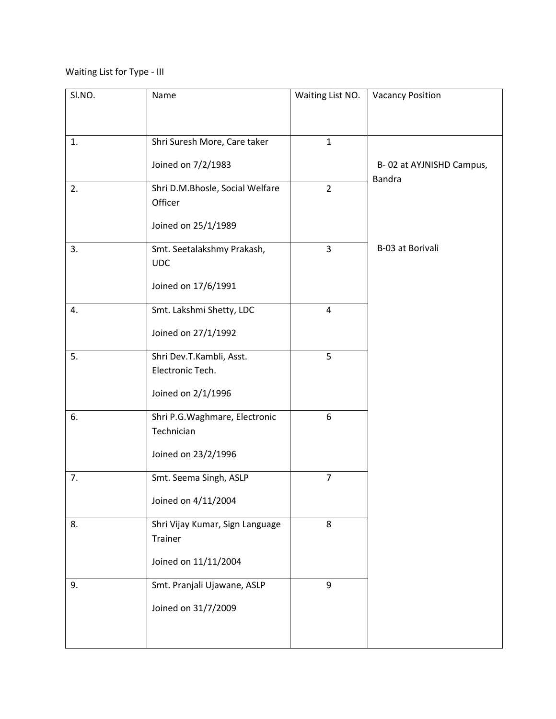Waiting List for Type - III

| SI.NO. | Name                                         | Waiting List NO. | <b>Vacancy Position</b>                   |
|--------|----------------------------------------------|------------------|-------------------------------------------|
|        |                                              |                  |                                           |
| 1.     | Shri Suresh More, Care taker                 | $\mathbf{1}$     |                                           |
|        | Joined on 7/2/1983                           |                  | B-02 at AYJNISHD Campus,<br><b>Bandra</b> |
| 2.     | Shri D.M.Bhosle, Social Welfare<br>Officer   | $\overline{2}$   |                                           |
|        | Joined on 25/1/1989                          |                  |                                           |
| 3.     | Smt. Seetalakshmy Prakash,<br><b>UDC</b>     | 3                | B-03 at Borivali                          |
|        | Joined on 17/6/1991                          |                  |                                           |
| 4.     | Smt. Lakshmi Shetty, LDC                     | $\overline{4}$   |                                           |
|        | Joined on 27/1/1992                          |                  |                                           |
| 5.     | Shri Dev.T.Kambli, Asst.<br>Electronic Tech. | 5                |                                           |
|        | Joined on 2/1/1996                           |                  |                                           |
| 6.     | Shri P.G. Waghmare, Electronic<br>Technician | 6                |                                           |
|        | Joined on 23/2/1996                          |                  |                                           |
| 7.     | Smt. Seema Singh, ASLP                       | $\overline{7}$   |                                           |
|        | Joined on 4/11/2004                          |                  |                                           |
| 8.     | Shri Vijay Kumar, Sign Language<br>Trainer   | 8                |                                           |
|        | Joined on 11/11/2004                         |                  |                                           |
| 9.     | Smt. Pranjali Ujawane, ASLP                  | 9                |                                           |
|        | Joined on 31/7/2009                          |                  |                                           |
|        |                                              |                  |                                           |